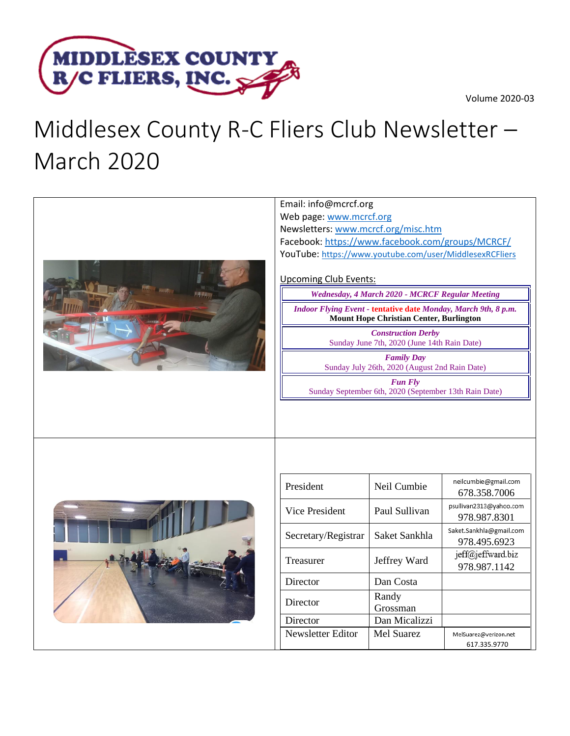



## Middlesex County R-C Fliers Club Newsletter – March 2020

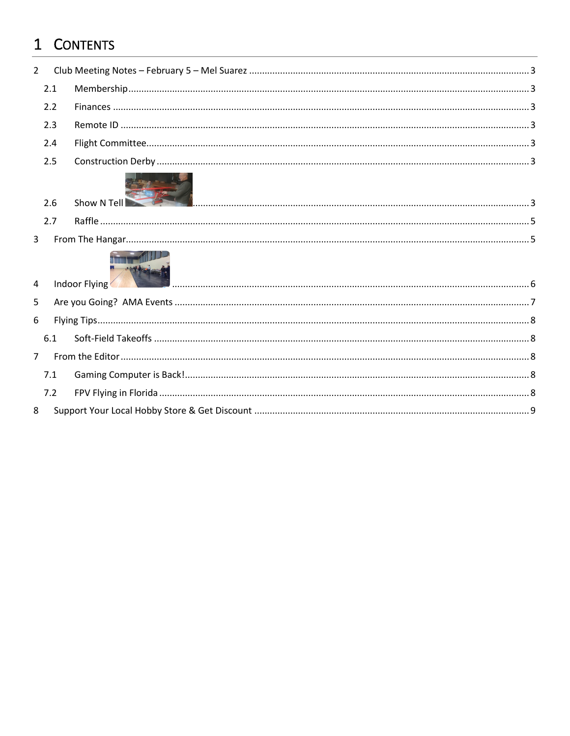## 1 CONTENTS

 $\,8\,$ 

| $\overline{2}$ |     |               |  |
|----------------|-----|---------------|--|
|                | 2.1 |               |  |
|                | 2.2 |               |  |
|                | 2.3 |               |  |
|                | 2.4 |               |  |
|                | 2.5 |               |  |
|                | 2.6 | Show N Tell   |  |
|                | 2.7 |               |  |
| $\overline{3}$ |     |               |  |
| 4              |     | Indoor Flying |  |
| 5              |     |               |  |
| 6              |     |               |  |
|                | 6.1 |               |  |
| $\overline{7}$ |     |               |  |
|                | 7.1 |               |  |
|                | 7.2 |               |  |
| 8              |     |               |  |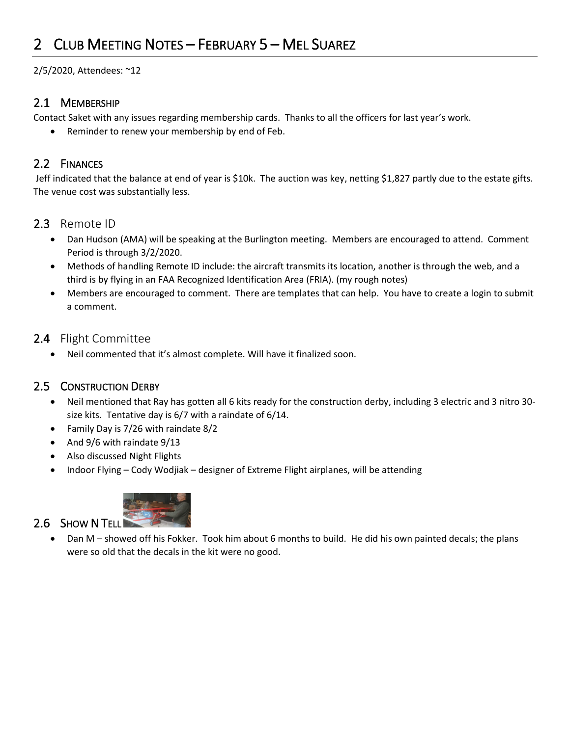## <span id="page-2-0"></span>2 CLUB MEETING NOTES – FEBRUARY 5 – MEL SUAREZ

2/5/2020, Attendees: ~12

#### <span id="page-2-1"></span>2.1 MEMBERSHIP

Contact Saket with any issues regarding membership cards. Thanks to all the officers for last year's work.

• Reminder to renew your membership by end of Feb.

#### <span id="page-2-2"></span>2.2 FINANCES

Jeff indicated that the balance at end of year is \$10k. The auction was key, netting \$1,827 partly due to the estate gifts. The venue cost was substantially less.

#### <span id="page-2-3"></span>2.3 Remote ID

- Dan Hudson (AMA) will be speaking at the Burlington meeting. Members are encouraged to attend. Comment Period is through 3/2/2020.
- Methods of handling Remote ID include: the aircraft transmits its location, another is through the web, and a third is by flying in an FAA Recognized Identification Area (FRIA). (my rough notes)
- Members are encouraged to comment. There are templates that can help. You have to create a login to submit a comment.

#### <span id="page-2-4"></span>2.4 Flight Committee

• Neil commented that it's almost complete. Will have it finalized soon.

#### <span id="page-2-5"></span>2.5 CONSTRUCTION DERBY

- Neil mentioned that Ray has gotten all 6 kits ready for the construction derby, including 3 electric and 3 nitro 30 size kits. Tentative day is 6/7 with a raindate of 6/14.
- Family Day is 7/26 with raindate 8/2
- And 9/6 with raindate 9/13
- Also discussed Night Flights
- <span id="page-2-6"></span>• Indoor Flying – Cody Wodjiak – designer of Extreme Flight airplanes, will be attending



#### 2.6 SHOW N TELL • Dan M – showed off his Fokker. Took him about 6 months to build. He did his own painted decals; the plans were so old that the decals in the kit were no good.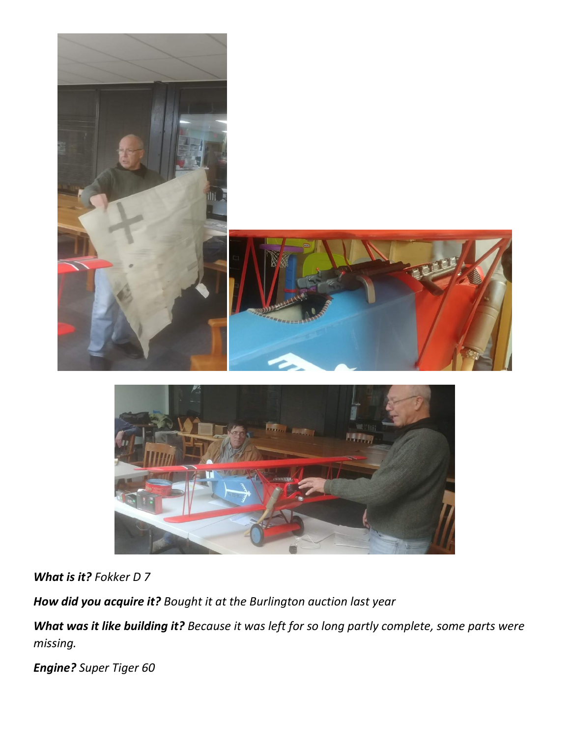



*What is it? Fokker D 7*

*How did you acquire it? Bought it at the Burlington auction last year*

*What was it like building it? Because it was left for so long partly complete, some parts were missing.*

*Engine? Super Tiger 60*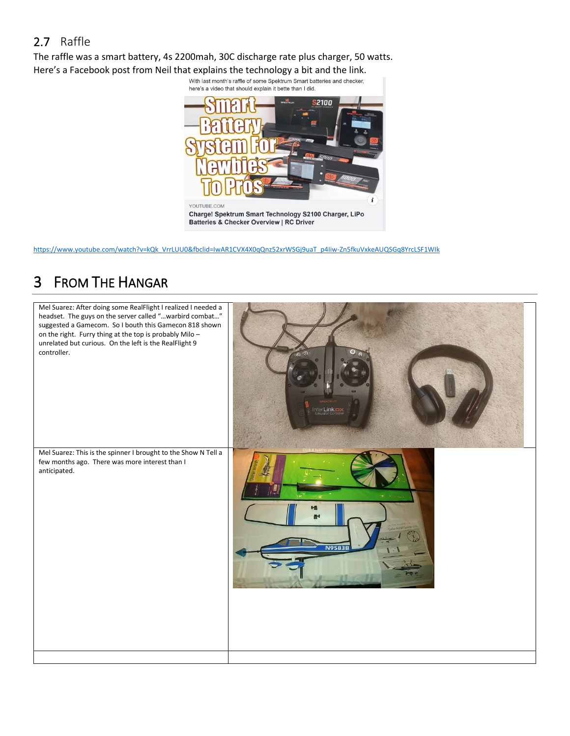#### <span id="page-4-0"></span>2.7 Raffle

The raffle was a smart battery, 4s 2200mah, 30C discharge rate plus charger, 50 watts. Here's a Facebook post from Neil that explains the technology a bit and the link.<br>With last month's raffle of some Spektrum Smart batteries and checker,



<span id="page-4-1"></span>[https://www.youtube.com/watch?v=kQk\\_VrrLUU0&fbclid=IwAR1CVX4X0qQnz52xrWSGj9uaT\\_p4Iiw-Zn5fkuVxkeAUQSGq8YrcLSF1WIk](https://www.youtube.com/watch?v=kQk_VrrLUU0&fbclid=IwAR1CVX4X0qQnz52xrWSGj9uaT_p4Iiw-Zn5fkuVxkeAUQSGq8YrcLSF1WIk)

## 3 FROM THE HANGAR

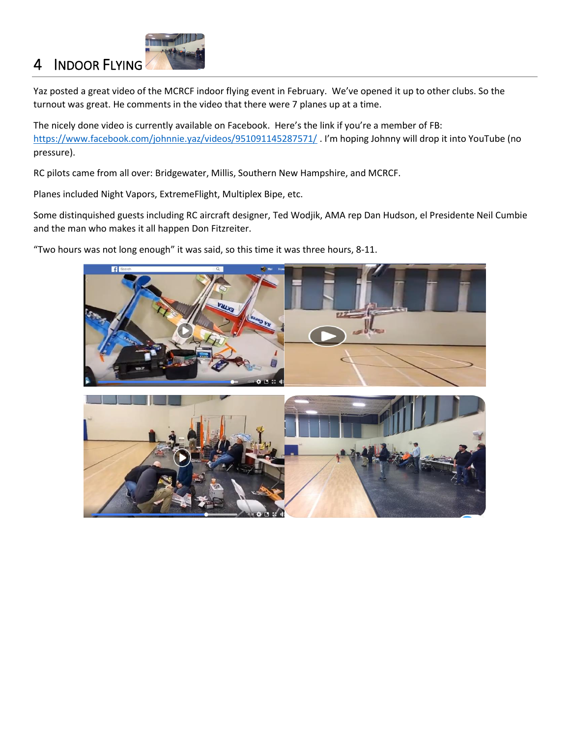# <span id="page-5-0"></span>4 INDOOR FLYING

Yaz posted a great video of the MCRCF indoor flying event in February. We've opened it up to other clubs. So the turnout was great. He comments in the video that there were 7 planes up at a time.

The nicely done video is currently available on Facebook. Here's the link if you're a member of FB: <https://www.facebook.com/johnnie.yaz/videos/951091145287571/> . I'm hoping Johnny will drop it into YouTube (no pressure).

RC pilots came from all over: Bridgewater, Millis, Southern New Hampshire, and MCRCF.

Planes included Night Vapors, ExtremeFlight, Multiplex Bipe, etc.

Some distinquished guests including RC aircraft designer, Ted Wodjik, AMA rep Dan Hudson, el Presidente Neil Cumbie and the man who makes it all happen Don Fitzreiter.

"Two hours was not long enough" it was said, so this time it was three hours, 8-11.

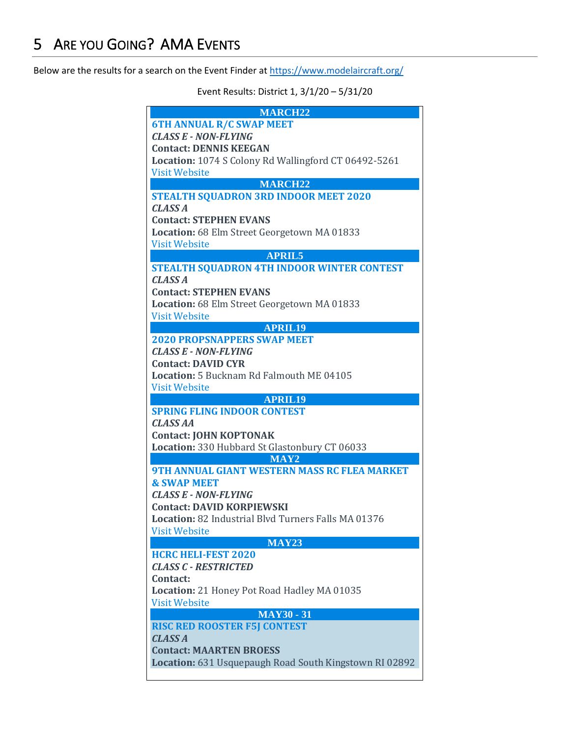<span id="page-6-0"></span>Below are the results for a search on the Event Finder a[t https://www.modelaircraft.org/](https://www.modelaircraft.org/)

Event Results: District 1, 3/1/20 – 5/31/20

| <b>MARCH22</b>                                                                           |
|------------------------------------------------------------------------------------------|
| <b>6TH ANNUAL R/C SWAP MEET</b>                                                          |
| <b>CLASS E - NON-FLYING</b>                                                              |
| <b>Contact: DENNIS KEEGAN</b>                                                            |
| Location: 1074 S Colony Rd Wallingford CT 06492-5261                                     |
| <b>Visit Website</b>                                                                     |
| <b>MARCH22</b>                                                                           |
| <b>STEALTH SQUADRON 3RD INDOOR MEET 2020</b>                                             |
| <b>CLASS A</b>                                                                           |
| <b>Contact: STEPHEN EVANS</b>                                                            |
| Location: 68 Elm Street Georgetown MA 01833                                              |
| <b>Visit Website</b>                                                                     |
| <b>APRIL5</b>                                                                            |
| <b>STEALTH SQUADRON 4TH INDOOR WINTER CONTEST</b>                                        |
| <b>CLASS A</b>                                                                           |
| <b>Contact: STEPHEN EVANS</b>                                                            |
| Location: 68 Elm Street Georgetown MA 01833                                              |
| <b>Visit Website</b>                                                                     |
| <b>APRIL19</b>                                                                           |
| <b>2020 PROPSNAPPERS SWAP MEET</b>                                                       |
| <b>CLASS E - NON-FLYING</b>                                                              |
| <b>Contact: DAVID CYR</b>                                                                |
| <b>Location: 5 Bucknam Rd Falmouth ME 04105</b>                                          |
| <b>Visit Website</b>                                                                     |
|                                                                                          |
| <b>APRIL19</b>                                                                           |
| <b>SPRING FLING INDOOR CONTEST</b>                                                       |
| <b>CLASS AA</b>                                                                          |
|                                                                                          |
| <b>Contact: JOHN KOPTONAK</b>                                                            |
| Location: 330 Hubbard St Glastonbury CT 06033                                            |
| MAY <sub>2</sub><br><b>9TH ANNUAL GIANT WESTERN MASS RC FLEA MARKET</b>                  |
| <b>&amp; SWAP MEET</b>                                                                   |
| <b>CLASS E - NON-FLYING</b>                                                              |
|                                                                                          |
| <b>Contact: DAVID KORPIEWSKI</b>                                                         |
| Location: 82 Industrial Blvd Turners Falls MA 01376                                      |
| <b>Visit Website</b>                                                                     |
| <b>MAY23</b>                                                                             |
| <b>HCRC HELI-FEST 2020</b>                                                               |
| <b>CLASS C - RESTRICTED</b>                                                              |
| Contact:                                                                                 |
| Location: 21 Honey Pot Road Hadley MA 01035                                              |
| <b>Visit Website</b>                                                                     |
| <b>MAY30 - 31</b>                                                                        |
| <b>RISC RED ROOSTER F5J CONTEST</b>                                                      |
| <b>CLASS A</b>                                                                           |
| <b>Contact: MAARTEN BROESS</b><br>Location: 631 Usquepaugh Road South Kingstown RI 02892 |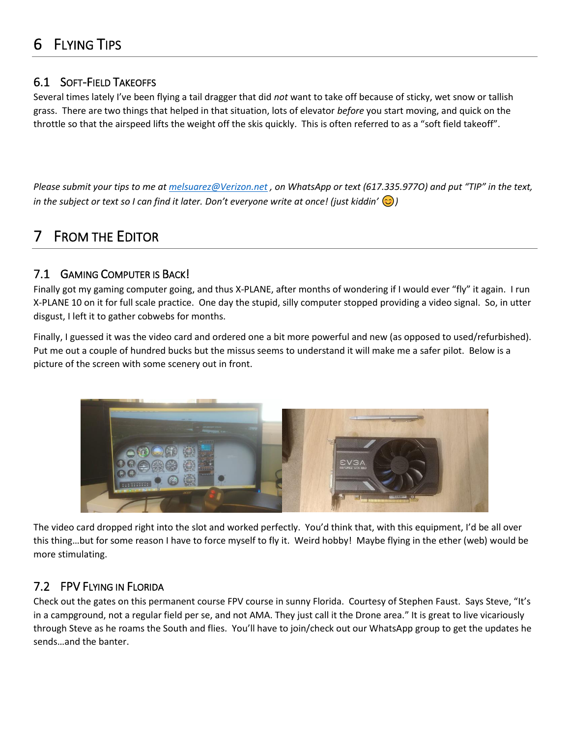### <span id="page-7-0"></span>6 FLYING TIPS

#### <span id="page-7-1"></span>6.1 SOFT-FIELD TAKEOFFS

Several times lately I've been flying a tail dragger that did *not* want to take off because of sticky, wet snow or tallish grass. There are two things that helped in that situation, lots of elevator *before* you start moving, and quick on the throttle so that the airspeed lifts the weight off the skis quickly. This is often referred to as a "soft field takeoff".

*Please submit your tips to me at [melsuarez@Verizon.net](mailto:melsuarez@Verizon.net) , on WhatsApp or text (617.335.977O) and put "TIP" in the text, in the subject or text so I can find it later. Don't everyone write at once! (just kiddin' )*

## <span id="page-7-2"></span>**FROM THE EDITOR**

#### <span id="page-7-3"></span>7.1 GAMING COMPUTER IS BACK!

Finally got my gaming computer going, and thus X-PLANE, after months of wondering if I would ever "fly" it again. I run X-PLANE 10 on it for full scale practice. One day the stupid, silly computer stopped providing a video signal. So, in utter disgust, I left it to gather cobwebs for months.

Finally, I guessed it was the video card and ordered one a bit more powerful and new (as opposed to used/refurbished). Put me out a couple of hundred bucks but the missus seems to understand it will make me a safer pilot. Below is a picture of the screen with some scenery out in front.



The video card dropped right into the slot and worked perfectly. You'd think that, with this equipment, I'd be all over this thing…but for some reason I have to force myself to fly it. Weird hobby! Maybe flying in the ether (web) would be more stimulating.

#### <span id="page-7-4"></span>7.2 FPV FLYING IN FLORIDA

Check out the gates on this permanent course FPV course in sunny Florida. Courtesy of Stephen Faust. Says Steve, "It's in a campground, not a regular field per se, and not AMA. They just call it the Drone area." It is great to live vicariously through Steve as he roams the South and flies. You'll have to join/check out our WhatsApp group to get the updates he sends…and the banter.